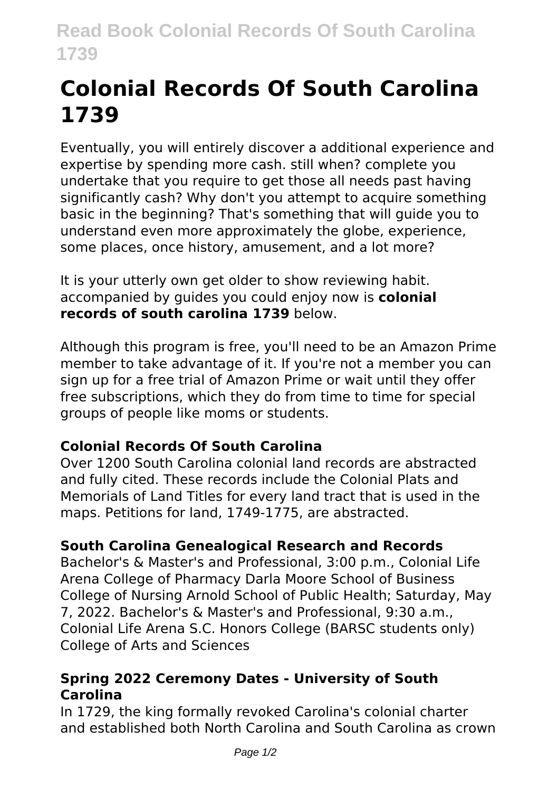# **Colonial Records Of South Carolina 1739**

Eventually, you will entirely discover a additional experience and expertise by spending more cash. still when? complete you undertake that you require to get those all needs past having significantly cash? Why don't you attempt to acquire something basic in the beginning? That's something that will guide you to understand even more approximately the globe, experience, some places, once history, amusement, and a lot more?

It is your utterly own get older to show reviewing habit. accompanied by guides you could enjoy now is **colonial records of south carolina 1739** below.

Although this program is free, you'll need to be an Amazon Prime member to take advantage of it. If you're not a member you can sign up for a free trial of Amazon Prime or wait until they offer free subscriptions, which they do from time to time for special groups of people like moms or students.

### **Colonial Records Of South Carolina**

Over 1200 South Carolina colonial land records are abstracted and fully cited. These records include the Colonial Plats and Memorials of Land Titles for every land tract that is used in the maps. Petitions for land, 1749-1775, are abstracted.

## **South Carolina Genealogical Research and Records**

Bachelor's & Master's and Professional, 3:00 p.m., Colonial Life Arena College of Pharmacy Darla Moore School of Business College of Nursing Arnold School of Public Health; Saturday, May 7, 2022. Bachelor's & Master's and Professional, 9:30 a.m., Colonial Life Arena S.C. Honors College (BARSC students only) College of Arts and Sciences

#### **Spring 2022 Ceremony Dates - University of South Carolina**

In 1729, the king formally revoked Carolina's colonial charter and established both North Carolina and South Carolina as crown